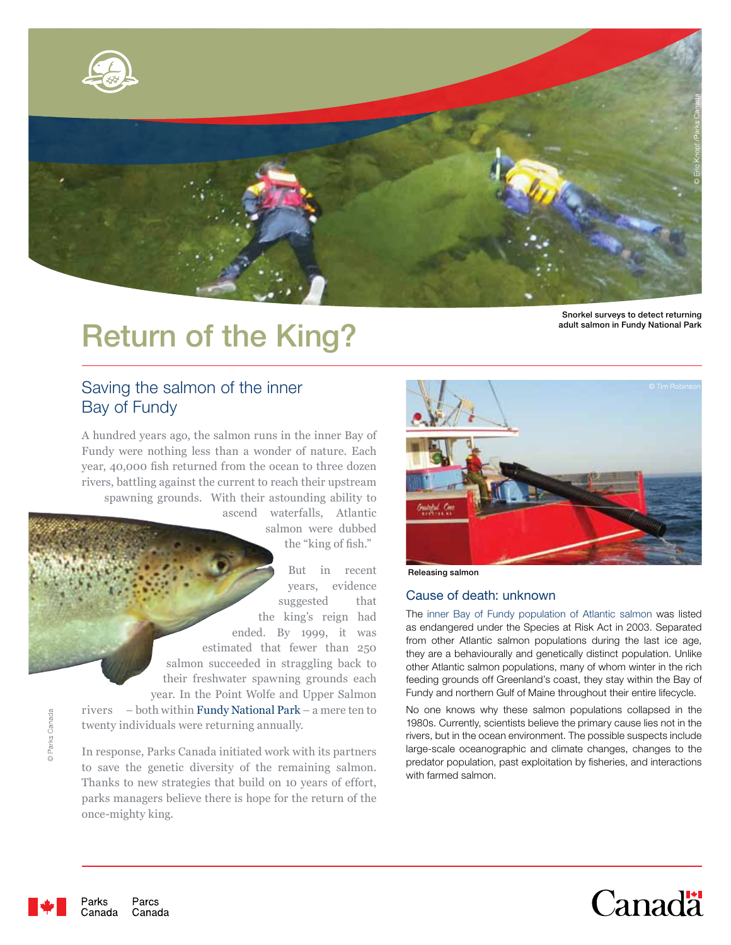

# Return of the King?

Snorkel surveys to detect returning<br>adult salmon in Fundy National Park

# Saving the salmon of the inner Bay of Fundy

A hundred years ago, the salmon runs in the inner Bay of Fundy were nothing less than a wonder of nature. Each year, 40,000 fish returned from the ocean to three dozen rivers, battling against the current to reach their upstream spawning grounds. With their astounding ability to

> ascend waterfalls, Atlantic salmon were dubbed the "king of fish."

But in recent years, evidence suggested that the king's reign had ended. By 1999, it was estimated that fewer than 250 salmon succeeded in straggling back to their freshwater spawning grounds each year. In the Point Wolfe and Upper Salmon rivers – both within Fundy National Park – a mere ten to

twenty individuals were returning annually. In response, Parks Canada initiated work with its partners

to save the genetic diversity of the remaining salmon. Thanks to new strategies that build on 10 years of effort, parks managers believe there is hope for the return of the once-mighty king.



Releasing salmon

## Cause of death: unknown

The inner Bay of Fundy population of Atlantic salmon was listed as endangered under the Species at Risk Act in 2003. Separated from other Atlantic salmon populations during the last ice age, they are a behaviourally and genetically distinct population. Unlike other Atlantic salmon populations, many of whom winter in the rich feeding grounds off Greenland's coast, they stay within the Bay of Fundy and northern Gulf of Maine throughout their entire lifecycle.

No one knows why these salmon populations collapsed in the 1980s. Currently, scientists believe the primary cause lies not in the rivers, but in the ocean environment. The possible suspects include large-scale oceanographic and climate changes, changes to the predator population, past exploitation by fisheries, and interactions with farmed salmon.